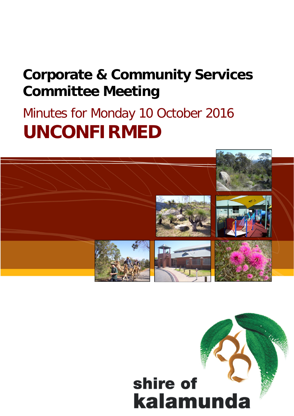## **Corporate & Community Services Committee Meeting**

# Minutes for Monday 10 October 2016 **UNCONFIRMED**



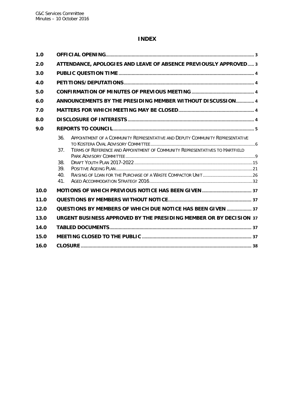#### **INDEX**

| 1.0  |            |                                                                                                                                                               |  |
|------|------------|---------------------------------------------------------------------------------------------------------------------------------------------------------------|--|
| 2.0  |            | ATTENDANCE, APOLOGIES AND LEAVE OF ABSENCE PREVIOUSLY APPROVED 3                                                                                              |  |
| 3.0  |            |                                                                                                                                                               |  |
| 4.0  |            |                                                                                                                                                               |  |
| 5.0  |            |                                                                                                                                                               |  |
| 6.0  |            | ANNOUNCEMENTS BY THE PRESIDING MEMBER WITHOUT DISCUSSION 4                                                                                                    |  |
| 7.0  |            |                                                                                                                                                               |  |
| 8.0  |            |                                                                                                                                                               |  |
| 9.0  |            |                                                                                                                                                               |  |
|      | 36.<br>37. | APPOINTMENT OF A COMMUNITY REPRESENTATIVE AND DEPUTY COMMUNITY REPRESENTATIVE<br>TERMS OF REFERENCE AND APPOINTMENT OF COMMUNITY REPRESENTATIVES TO HARTFIELD |  |
|      | 38.        |                                                                                                                                                               |  |
|      | 39.        |                                                                                                                                                               |  |
|      | 40.<br>41. |                                                                                                                                                               |  |
| 10.0 |            |                                                                                                                                                               |  |
| 11.0 |            |                                                                                                                                                               |  |
| 12.0 |            | QUESTIONS BY MEMBERS OF WHICH DUE NOTICE HAS BEEN GIVEN  37                                                                                                   |  |
| 13.0 |            | URGENT BUSINESS APPROVED BY THE PRESIDING MEMBER OR BY DECISION 37                                                                                            |  |
| 14.0 |            |                                                                                                                                                               |  |
| 15.0 |            |                                                                                                                                                               |  |
| 16.0 |            |                                                                                                                                                               |  |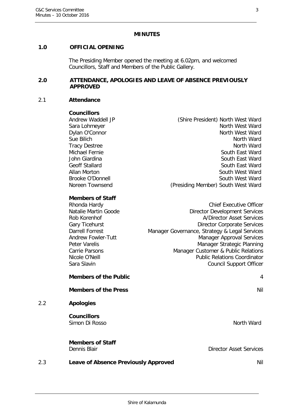#### **MINUTES**

#### <span id="page-2-0"></span>**1.0 OFFICIAL OPENING**

The Presiding Member opened the meeting at 6.02pm, and welcomed Councillors, Staff and Members of the Public Gallery.

#### <span id="page-2-1"></span>**2.0 ATTENDANCE, APOLOGIES AND LEAVE OF ABSENCE PREVIOUSLY APPROVED**

#### 2.1 **Attendance**

#### **Councillors**

| Andrew Waddell JP | (Shire President) North West Ward  |
|-------------------|------------------------------------|
| Sara Lohmeyer     | North West Ward                    |
| Dylan O'Connor    | North West Ward                    |
| Sue Bilich        | North Ward                         |
| Tracy Destree     | North Ward                         |
| Michael Fernie    | South East Ward                    |
| John Giardina     | South East Ward                    |
| Geoff Stallard    | South East Ward                    |
| Allan Morton      | South West Ward                    |
| Brooke O'Donnell  | South West Ward                    |
| Noreen Townsend   | (Presiding Member) South West Ward |
|                   |                                    |

#### **Members of Staff**

| Rhonda Hardy              | <b>Chief Executive Officer</b>                |
|---------------------------|-----------------------------------------------|
| Natalie Martin Goode      | <b>Director Development Services</b>          |
| Rob Korenhof              | A/Director Asset Services                     |
| Gary Ticehurst            | <b>Director Corporate Services</b>            |
| Darrell Forrest           | Manager Governance, Strategy & Legal Services |
| <b>Andrew Fowler-Tutt</b> | <b>Manager Approval Services</b>              |
| Peter Varelis             | Manager Strategic Planning                    |
| Carrie Parsons            | Manager Customer & Public Relations           |
| Nicole O'Neill            | <b>Public Relations Coordinator</b>           |
| Sara Slavin               | <b>Council Support Officer</b>                |
|                           |                                               |

## **Members of the Public** 4

**Members of the Press** Nil

## 2.2 **Apologies**

**Councillors** Simon Di Rosso North Ward

**Members of Staff**

Dennis Blair Director Asset Services

## 2.3 **Leave of Absence Previously Approved Nill**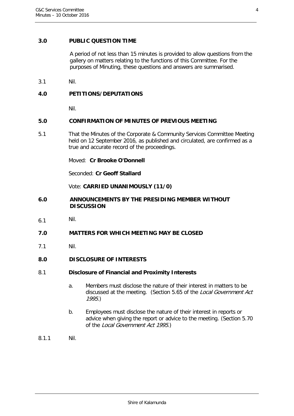#### <span id="page-3-0"></span>**3.0 PUBLIC QUESTION TIME**

A period of not less than 15 minutes is provided to allow questions from the gallery on matters relating to the functions of this Committee. For the purposes of Minuting, these questions and answers are summarised.

3.1 Nil.

#### <span id="page-3-1"></span>**4.0 PETITIONS/DEPUTATIONS**

Nil.

#### <span id="page-3-2"></span>**5.0 CONFIRMATION OF MINUTES OF PREVIOUS MEETING**

5.1 That the Minutes of the Corporate & Community Services Committee Meeting held on 12 September 2016, as published and circulated, are confirmed as a true and accurate record of the proceedings.

Moved: **Cr Brooke O'Donnell**

Seconded: **Cr Geoff Stallard**

Vote: **CARRIED UNANIMOUSLY (11/0)**

- <span id="page-3-3"></span>**6.0 ANNOUNCEMENTS BY THE PRESIDING MEMBER WITHOUT DISCUSSION**
- 6.1 Nil.
- <span id="page-3-4"></span>**7.0 MATTERS FOR WHICH MEETING MAY BE CLOSED**
- 7.1 Nil.

#### <span id="page-3-5"></span>**8.0 DISCLOSURE OF INTERESTS**

#### 8.1 **Disclosure of Financial and Proximity Interests**

- a. Members must disclose the nature of their interest in matters to be discussed at the meeting. (Section 5.65 of the Local Government Act 1995.)
- b. Employees must disclose the nature of their interest in reports or advice when giving the report or advice to the meeting. (Section 5.70 of the Local Government Act 1995.)
- 8.1.1 Nil.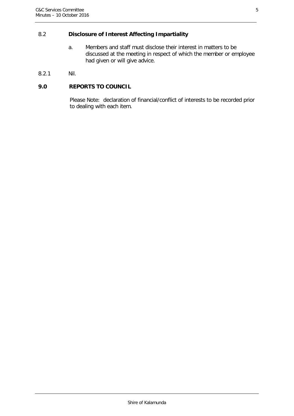## 8.2 **Disclosure of Interest Affecting Impartiality**

- a. Members and staff must disclose their interest in matters to be discussed at the meeting in respect of which the member or employee had given or will give advice.
- 8.2.1 Nil.

#### <span id="page-4-0"></span>**9.0 REPORTS TO COUNCIL**

Please Note: declaration of financial/conflict of interests to be recorded prior to dealing with each item.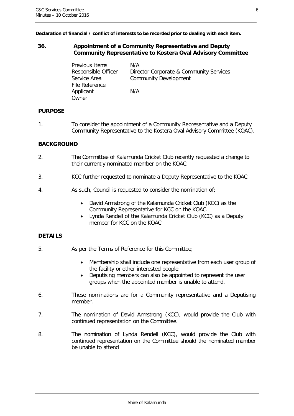**Declaration of financial / conflict of interests to be recorded prior to dealing with each item.**

#### <span id="page-5-0"></span>**36. Appointment of a Community Representative and Deputy Community Representative to Kostera Oval Advisory Committee**

| Previous Items      | N/A                                     |
|---------------------|-----------------------------------------|
| Responsible Officer | Director Corporate & Community Services |
| Service Area        | <b>Community Development</b>            |
| File Reference      |                                         |
| Applicant           | N/A                                     |
| Owner               |                                         |

#### **PURPOSE**

1. To consider the appointment of a Community Representative and a Deputy Community Representative to the Kostera Oval Advisory Committee (KOAC).

#### **BACKGROUND**

- 2. The Committee of Kalamunda Cricket Club recently requested a change to their currently nominated member on the KOAC.
- 3. KCC further requested to nominate a Deputy Representative to the KOAC.
- 4. As such, Council is requested to consider the nomination of;
	- David Armstrong of the Kalamunda Cricket Club (KCC) as the Community Representative for KCC on the KOAC.
	- Lynda Rendell of the Kalamunda Cricket Club (KCC) as a Deputy member for KCC on the KOAC

#### **DETAILS**

- 5. As per the Terms of Reference for this Committee;
	- Membership shall include one representative from each user group of the facility or other interested people.
	- Deputising members can also be appointed to represent the user groups when the appointed member is unable to attend.
- 6. These nominations are for a Community representative and a Deputising member.
- 7. The nomination of David Armstrong (KCC), would provide the Club with continued representation on the Committee.
- 8. The nomination of Lynda Rendell (KCC), would provide the Club with continued representation on the Committee should the nominated member be unable to attend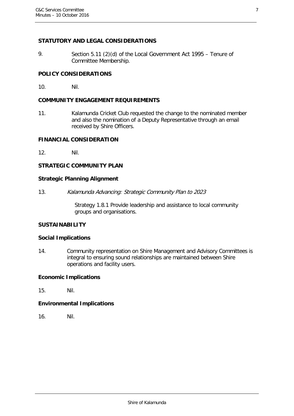#### **STATUTORY AND LEGAL CONSIDERATIONS**

9. Section 5.11 (2)(d) of the Local Government Act 1995 – Tenure of Committee Membership.

#### **POLICY CONSIDERATIONS**

10. Nil.

#### **COMMUNITY ENGAGEMENT REQUIREMENTS**

11. Kalamunda Cricket Club requested the change to the nominated member and also the nomination of a Deputy Representative through an email received by Shire Officers.

#### **FINANCIAL CONSIDERATION**

12. Nil.

## **STRATEGIC COMMUNITY PLAN**

#### **Strategic Planning Alignment**

13. Kalamunda Advancing: Strategic Community Plan to 2023

Strategy 1.8.1 Provide leadership and assistance to local community groups and organisations.

#### **SUSTAINABILITY**

#### **Social Implications**

14. Community representation on Shire Management and Advisory Committees is integral to ensuring sound relationships are maintained between Shire operations and facility users.

#### **Economic Implications**

15. Nil.

#### **Environmental Implications**

16. Nil.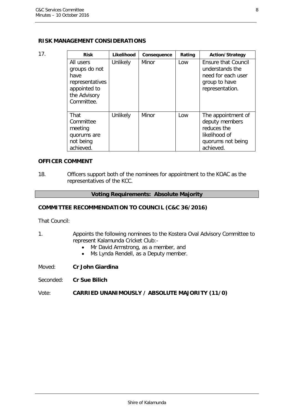#### **RISK MANAGEMENT CONSIDERATIONS**

| 17. | <b>Risk</b>                                                                                         | Likelihood | Consequence | Rating | <b>Action/Strategy</b>                                                                                  |
|-----|-----------------------------------------------------------------------------------------------------|------------|-------------|--------|---------------------------------------------------------------------------------------------------------|
|     | All users<br>groups do not<br>have<br>representatives<br>appointed to<br>the Advisory<br>Committee. | Unlikely   | Minor       | Low    | <b>Ensure that Council</b><br>understands the<br>need for each user<br>group to have<br>representation. |
|     | That<br>Committee<br>meeting<br>quorums are<br>not being<br>achieved.                               | Unlikely   | Minor       | Low    | The appointment of<br>deputy members<br>reduces the<br>likelihood of<br>quorums not being<br>achieved.  |

#### **OFFICER COMMENT**

18. Officers support both of the nominees for appointment to the KOAC as the representatives of the KCC.

#### **Voting Requirements: Absolute Majority**

#### **COMMITTEE RECOMMENDATION TO COUNCIL (C&C 36/2016)**

That Council:

- 1. Appoints the following nominees to the Kostera Oval Advisory Committee to represent Kalamunda Cricket Club:-
	- Mr David Armstrong, as a member, and
	- Ms Lynda Rendell, as a Deputy member.

Moved: **Cr John Giardina**

Seconded: **Cr Sue Bilich**

#### Vote: **CARRIED UNANIMOUSLY / ABSOLUTE MAJORITY (11/0)**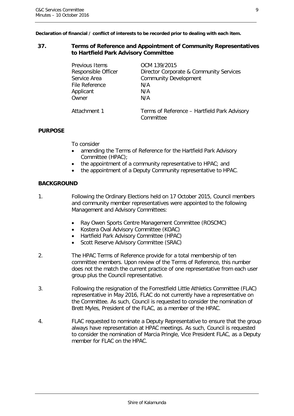**Declaration of financial / conflict of interests to be recorded prior to dealing with each item.**

#### <span id="page-8-0"></span>**37. Terms of Reference and Appointment of Community Representatives to Hartfield Park Advisory Committee**

| Previous Items      | OCM 139/2015                                 |
|---------------------|----------------------------------------------|
| Responsible Officer | Director Corporate & Community Services      |
| Service Area        | <b>Community Development</b>                 |
| File Reference      | N/A                                          |
| Applicant           | N/A                                          |
| Owner               | N/A                                          |
| Attachment 1        | Terms of Reference - Hartfield Park Advisory |
|                     | Committee                                    |

#### **PURPOSE**

To consider

- amending the Terms of Reference for the Hartfield Park Advisory Committee (HPAC);
- the appointment of a community representative to HPAC; and
- the appointment of a Deputy Community representative to HPAC.

#### **BACKGROUND**

- 1. Following the Ordinary Elections held on 17 October 2015, Council members and community member representatives were appointed to the following Management and Advisory Committees:
	- Ray Owen Sports Centre Management Committee (ROSCMC)
	- Kostera Oval Advisory Committee (KOAC)
	- Hartfield Park Advisory Committee (HPAC)
	- Scott Reserve Advisory Committee (SRAC)
- 2. The HPAC Terms of Reference provide for a total membership of ten committee members. Upon review of the Terms of Reference, this number does not the match the current practice of one representative from each user group plus the Council representative.
- 3. Following the resignation of the Forrestfield Little Athletics Committee (FLAC) representative in May 2016, FLAC do not currently have a representative on the Committee. As such, Council is requested to consider the nomination of Brett Myles, President of the FLAC, as a member of the HPAC.
- 4. FLAC requested to nominate a Deputy Representative to ensure that the group always have representation at HPAC meetings. As such, Council is requested to consider the nomination of Marcia Pringle, Vice President FLAC, as a Deputy member for FLAC on the HPAC.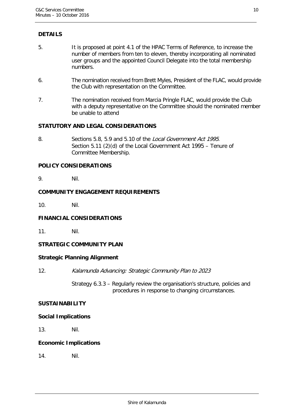## **DETAILS**

- 5. It is proposed at point 4.1 of the HPAC Terms of Reference, to increase the number of members from ten to eleven, thereby incorporating all nominated user groups and the appointed Council Delegate into the total membership numbers.
- 6. The nomination received from Brett Myles, President of the FLAC, would provide the Club with representation on the Committee.
- 7. The nomination received from Marcia Pringle FLAC, would provide the Club with a deputy representative on the Committee should the nominated member be unable to attend

#### **STATUTORY AND LEGAL CONSIDERATIONS**

8. Sections 5.8, 5.9 and 5.10 of the Local Government Act 1995. Section 5.11 (2)(d) of the Local Government Act 1995 – Tenure of Committee Membership.

#### **POLICY CONSIDERATIONS**

9. Nil.

#### **COMMUNITY ENGAGEMENT REQUIREMENTS**

10. Nil.

#### **FINANCIAL CONSIDERATIONS**

11. Nil.

#### **STRATEGIC COMMUNITY PLAN**

#### **Strategic Planning Alignment**

12. Kalamunda Advancing: Strategic Community Plan to 2023

Strategy 6.3.3 – Regularly review the organisation's structure, policies and procedures in response to changing circumstances.

#### **SUSTAINABILITY**

#### **Social Implications**

13. Nil.

#### **Economic Implications**

14. Nil.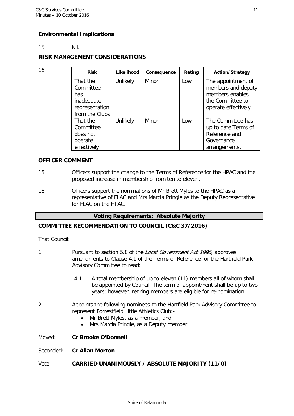#### **Environmental Implications**

#### 15. Nil.

#### **RISK MANAGEMENT CONSIDERATIONS**

| 16. | <b>Risk</b>                                                                    | Likelihood | Consequence | Rating | <b>Action/Strategy</b>                                                                                 |
|-----|--------------------------------------------------------------------------------|------------|-------------|--------|--------------------------------------------------------------------------------------------------------|
|     | That the<br>Committee<br>has<br>inadequate<br>representation<br>from the Clubs | Unlikely   | Minor       | Low    | The appointment of<br>members and deputy<br>members enables<br>the Committee to<br>operate effectively |
|     | That the<br>Committee<br>does not<br>operate<br>effectively                    | Unlikely   | Minor       | Low    | The Committee has<br>up to date Terms of<br>Reference and<br>Governance<br>arrangements.               |

#### **OFFICER COMMENT**

- 15. Officers support the change to the Terms of Reference for the HPAC and the proposed increase in membership from ten to eleven.
- 16. Officers support the nominations of Mr Brett Myles to the HPAC as a representative of FLAC and Mrs Marcia Pringle as the Deputy Representative for FLAC on the HPAC.

#### **Voting Requirements: Absolute Majority**

#### **COMMITTEE RECOMMENDATION TO COUNCIL (C&C 37/2016)**

That Council:

- 1. Pursuant to section 5.8 of the Local Government Act 1995, approves amendments to Clause 4.1 of the Terms of Reference for the Hartfield Park Advisory Committee to read:
	- 4.1 A total membership of up to eleven (11) members all of whom shall be appointed by Council. The term of appointment shall be up to two years; however, retiring members are eligible for re-nomination.
- 2. Appoints the following nominees to the Hartfield Park Advisory Committee to represent Forrestfield Little Athletics Club:-
	- Mr Brett Myles, as a member, and
	- Mrs Marcia Pringle, as a Deputy member.

Moved: **Cr Brooke O'Donnell**

#### Seconded: **Cr Allan Morton**

Vote: **CARRIED UNANIMOUSLY / ABSOLUTE MAJORITY (11/0)**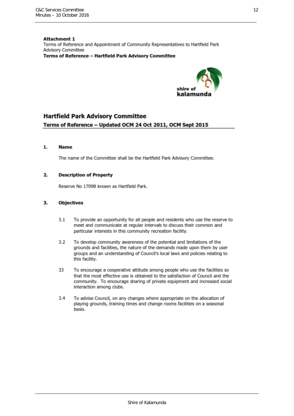**Attachment 1** Terms of Reference and Appointment of Community Representatives to Hartfield Park **Advisory Committee Terms of Reference - Hartfield Park Advisory Committee** 



#### **Hartfield Park Advisory Committee**

#### Terms of Reference - Updated OCM 24 Oct 2011, OCM Sept 2015

#### 1. **Name**

The name of the Committee shall be the Hartfield Park Advisory Committee.

#### 2. **Description of Property**

Reserve No 17098 known as Hartfield Park.

#### 3. **Objectives**

- $3.1$ To provide an opportunity for all people and residents who use the reserve to meet and communicate at regular intervals to discuss their common and particular interests in this community recreation facility.
- $3.2$ To develop community awareness of the potential and limitations of the grounds and facilities, the nature of the demands made upon them by user groups and an understanding of Council's local laws and policies relating to this facility.
- 33 To encourage a cooperative attitude among people who use the facilities so that the most effective use is obtained to the satisfaction of Council and the community. To encourage sharing of private equipment and increased social interaction among clubs.
- $3.4$ To advise Council, on any changes where appropriate on the allocation of playing grounds, training times and change rooms facilities on a seasonal basis.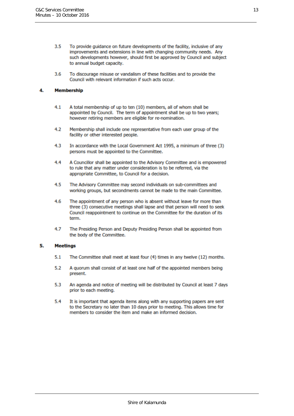- $3.5$ To provide quidance on future developments of the facility, inclusive of any improvements and extensions in line with changing community needs. Any such developments however, should first be approved by Council and subject to annual budget capacity.
- 3.6 To discourage misuse or vandalism of these facilities and to provide the Council with relevant information if such acts occur.

#### 4 **Membership**

- A total membership of up to ten (10) members, all of whom shall be  $4.1$ appointed by Council. The term of appointment shall be up to two years; however retiring members are eligible for re-nomination.
- $4.2$ Membership shall include one representative from each user group of the facility or other interested people.
- 4.3 In accordance with the Local Government Act 1995, a minimum of three (3) persons must be appointed to the Committee.
- 4.4 A Councillor shall be appointed to the Advisory Committee and is empowered to rule that any matter under consideration is to be referred, via the appropriate Committee, to Council for a decision.
- 4.5 The Advisory Committee may second individuals on sub-committees and working groups, but secondments cannot be made to the main Committee.
- 4.6 The appointment of any person who is absent without leave for more than three (3) consecutive meetings shall lapse and that person will need to seek Council reappointment to continue on the Committee for the duration of its term.
- 4.7 The Presiding Person and Deputy Presiding Person shall be appointed from the body of the Committee.

#### 5. **Meetings**

- The Committee shall meet at least four (4) times in any twelve (12) months.  $5.1$
- $5.2$ A quorum shall consist of at least one half of the appointed members being present.
- 5.3 An agenda and notice of meeting will be distributed by Council at least 7 days prior to each meeting.
- 5.4 It is important that agenda items along with any supporting papers are sent to the Secretary no later than 10 days prior to meeting. This allows time for members to consider the item and make an informed decision.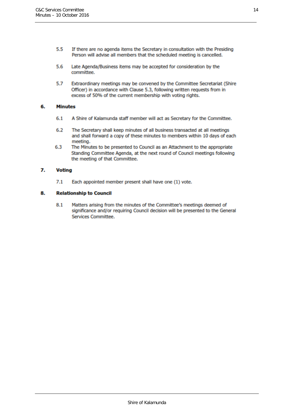- $5.5$ If there are no agenda items the Secretary in consultation with the Presiding Person will advise all members that the scheduled meeting is cancelled.
- Late Agenda/Business items may be accepted for consideration by the 5.6 committee.
- 5.7 Extraordinary meetings may be convened by the Committee Secretariat (Shire Officer) in accordance with Clause 5.3, following written requests from in excess of 50% of the current membership with voting rights.

#### 6. **Minutes**

- $6.1$ A Shire of Kalamunda staff member will act as Secretary for the Committee.
- $6.2$ The Secretary shall keep minutes of all business transacted at all meetings and shall forward a copy of these minutes to members within 10 days of each meeting.
- 6.3 The Minutes to be presented to Council as an Attachment to the appropriate Standing Committee Agenda, at the next round of Council meetings following the meeting of that Committee.

#### 7. **Voting**

 $7.1$ Each appointed member present shall have one (1) vote.

#### 8. **Relationship to Council**

 $8.1$ Matters arising from the minutes of the Committee's meetings deemed of significance and/or requiring Council decision will be presented to the General Services Committee.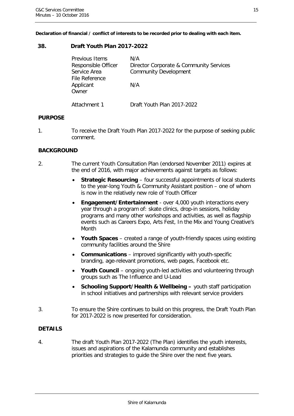**Declaration of financial / conflict of interests to be recorded prior to dealing with each item.**

#### <span id="page-14-0"></span>**38. Draft Youth Plan 2017-2022**

| <b>Previous Items</b><br>Responsible Officer<br>Service Area<br>File Reference<br>Applicant<br>Owner | N/A<br>Director Corporate & Community Services<br><b>Community Development</b><br>N/A |
|------------------------------------------------------------------------------------------------------|---------------------------------------------------------------------------------------|
| Attachment 1                                                                                         | Draft Youth Plan 2017-2022                                                            |

#### **PURPOSE**

1. To receive the Draft Youth Plan 2017-2022 for the purpose of seeking public comment.

#### **BACKGROUND**

- 2. The current Youth Consultation Plan (endorsed November 2011) expires at the end of 2016, with major achievements against targets as follows:
	- **Strategic Resourcing** four successful appointments of local students to the year-long Youth & Community Assistant position – one of whom is now in the relatively new role of Youth Officer
	- **Engagement/Entertainment** over 4,000 youth interactions every year through a program of: skate clinics, drop-in sessions, holiday programs and many other workshops and activities, as well as flagship events such as Careers Expo, Arts Fest, In the Mix and Young Creative's Month
	- **Youth Spaces** created a range of youth-friendly spaces using existing community facilities around the Shire
	- **Communications** improved significantly with youth-specific branding, age-relevant promotions, web pages, Facebook etc.
	- Youth Council ongoing youth-led activities and volunteering through groups such as The Influence and U-Lead
	- **Schooling Support/Health & Wellbeing –** youth staff participation in school initiatives and partnerships with relevant service providers
- 3. To ensure the Shire continues to build on this progress, the Draft Youth Plan for 2017-2022 is now presented for consideration.

#### **DETAILS**

4. The draft Youth Plan 2017-2022 (The Plan) identifies the youth interests, issues and aspirations of the Kalamunda community and establishes priorities and strategies to guide the Shire over the next five years.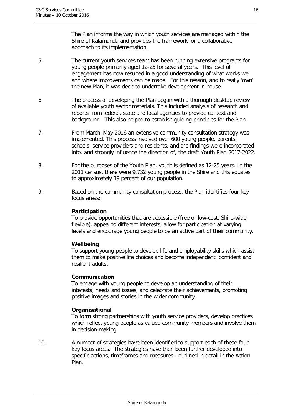The Plan informs the way in which youth services are managed within the Shire of Kalamunda and provides the framework for a collaborative approach to its implementation.

- 5. The current youth services team has been running extensive programs for young people primarily aged 12-25 for several years. This level of engagement has now resulted in a good understanding of what works well and where improvements can be made. For this reason, and to really 'own' the new Plan, it was decided undertake development in house.
- 6. The process of developing the Plan began with a thorough desktop review of available youth sector materials. This included analysis of research and reports from federal, state and local agencies to provide context and background. This also helped to establish guiding principles for the Plan.
- 7. From March–May 2016 an extensive community consultation strategy was implemented. This process involved over 600 young people, parents, schools, service providers and residents, and the findings were incorporated into, and strongly influence the direction of, the draft Youth Plan 2017-2022.
- 8. For the purposes of the Youth Plan, youth is defined as 12-25 years. In the 2011 census, there were 9,732 young people in the Shire and this equates to approximately 19 percent of our population.
- 9. Based on the community consultation process, the Plan identifies four key focus areas:

#### **Participation**

To provide opportunities that are accessible (free or low-cost, Shire-wide, flexible), appeal to different interests, allow for participation at varying levels and encourage young people to be an active part of their community.

#### **Wellbeing**

To support young people to develop life and employability skills which assist them to make positive life choices and become independent, confident and resilient adults.

#### **Communication**

To engage with young people to develop an understanding of their interests, needs and issues, and celebrate their achievements, promoting positive images and stories in the wider community.

#### **Organisational**

To form strong partnerships with youth service providers, develop practices which reflect young people as valued community members and involve them in decision-making.

10. A number of strategies have been identified to support each of these four key focus areas. The strategies have then been further developed into specific actions, timeframes and measures - outlined in detail in the Action Plan.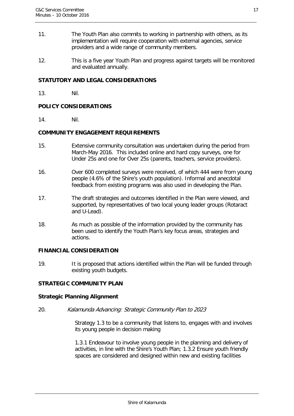- 11. The Youth Plan also commits to working in partnership with others, as its implementation will require cooperation with external agencies, service providers and a wide range of community members.
- 12. This is a five year Youth Plan and progress against targets will be monitored and evaluated annually.

#### **STATUTORY AND LEGAL CONSIDERATIONS**

13. Nil.

#### **POLICY CONSIDERATIONS**

14. Nil.

#### **COMMUNITY ENGAGEMENT REQUIREMENTS**

- 15. Extensive community consultation was undertaken during the period from March-May 2016. This included online and hard copy surveys, one for Under 25s and one for Over 25s (parents, teachers, service providers).
- 16. Over 600 completed surveys were received, of which 444 were from young people (4.6% of the Shire's youth population). Informal and anecdotal feedback from existing programs was also used in developing the Plan.
- 17. The draft strategies and outcomes identified in the Plan were viewed, and supported, by representatives of two local young leader groups (Rotaract and U-Lead).
- 18. As much as possible of the information provided by the community has been used to identify the Youth Plan's key focus areas, strategies and actions.

#### **FINANCIAL CONSIDERATION**

19. It is proposed that actions identified within the Plan will be funded through existing youth budgets.

#### **STRATEGIC COMMUNITY PLAN**

#### **Strategic Planning Alignment**

20. Kalamunda Advancing: Strategic Community Plan to 2023

Strategy 1.3 to be a community that listens to, engages with and involves its young people in decision making

1.3.1 Endeavour to involve young people in the planning and delivery of activities, in line with the Shire's Youth Plan; 1.3.2 Ensure youth friendly spaces are considered and designed within new and existing facilities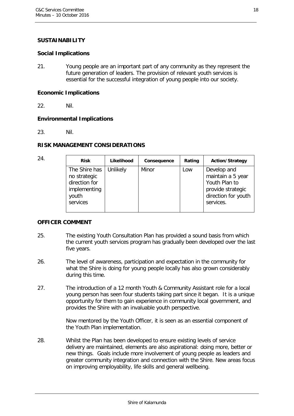#### **SUSTAINABILITY**

#### **Social Implications**

21. Young people are an important part of any community as they represent the future generation of leaders. The provision of relevant youth services is essential for the successful integration of young people into our society.

#### **Economic Implications**

22. Nil.

#### **Environmental Implications**

23. Nil.

#### **RISK MANAGEMENT CONSIDERATIONS**

| 24. | <b>Risk</b>                                                                         | Likelihood | Consequence | Rating | <b>Action/Strategy</b>                                                                                     |
|-----|-------------------------------------------------------------------------------------|------------|-------------|--------|------------------------------------------------------------------------------------------------------------|
|     | The Shire has<br>no strategic<br>direction for<br>implementing<br>youth<br>services | Unlikely   | Minor       | Low    | Develop and<br>maintain a 5 year<br>Youth Plan to<br>provide strategic<br>direction for youth<br>services. |
|     |                                                                                     |            |             |        |                                                                                                            |

#### **OFFICER COMMENT**

- 25. The existing Youth Consultation Plan has provided a sound basis from which the current youth services program has gradually been developed over the last five years.
- 26. The level of awareness, participation and expectation in the community for what the Shire is doing for young people locally has also grown considerably during this time.
- 27. The introduction of a 12 month Youth & Community Assistant role for a local young person has seen four students taking part since it began. It is a unique opportunity for them to gain experience in community local government, and provides the Shire with an invaluable youth perspective.

Now mentored by the Youth Officer, it is seen as an essential component of the Youth Plan implementation.

28. Whilst the Plan has been developed to ensure existing levels of service delivery are maintained, elements are also aspirational: doing more, better or new things. Goals include more involvement of young people as leaders and greater community integration and connection with the Shire. New areas focus on improving employability, life skills and general wellbeing.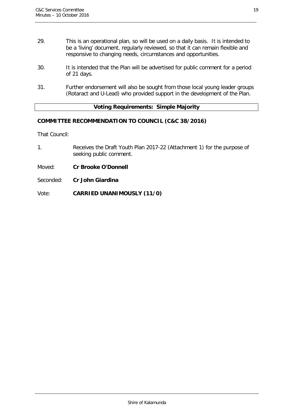- 29. This is an operational plan, so will be used on a daily basis. It is intended to be a 'living' document, regularly reviewed, so that it can remain flexible and responsive to changing needs, circumstances and opportunities.
- 30. It is intended that the Plan will be advertised for public comment for a period of 21 days.
- 31. Further endorsement will also be sought from those local young leader groups (Rotaract and U-Lead) who provided support in the development of the Plan.

#### **Voting Requirements: Simple Majority**

#### **COMMITTEE RECOMMENDATION TO COUNCIL (C&C 38/2016)**

That Council:

- 1. Receives the Draft Youth Plan 2017-22 (Attachment 1) for the purpose of seeking public comment.
- Moved: **Cr Brooke O'Donnell**
- Seconded: **Cr John Giardina**

Vote: **CARRIED UNANIMOUSLY (11/0)**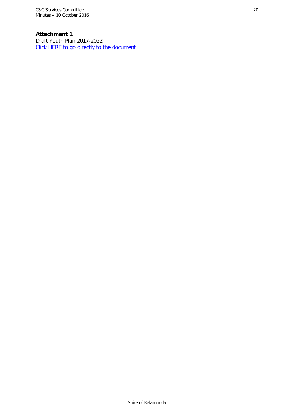## **Attachment 1**

Draft Youth Plan 2017-2022 [Click HERE to go directly to the document](http://www.kalamunda.wa.gov.au/files/a0536d82-a11f-443d-a056-a69700e72d71/Item-38-Att-1-CC-10-October-2016.pdf)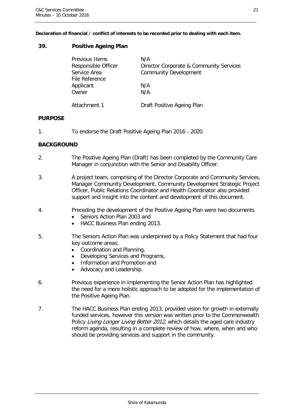**Declaration of financial / conflict of interests to be recorded prior to dealing with each item.**

#### <span id="page-20-0"></span>**39. Positive Ageing Plan**

| Previous Items<br>Responsible Officer<br>Service Area | N/A<br>Director Corporate & Community Services<br><b>Community Development</b> |
|-------------------------------------------------------|--------------------------------------------------------------------------------|
| File Reference                                        |                                                                                |
| Applicant                                             | N/A                                                                            |
| Owner                                                 | N/A                                                                            |
|                                                       |                                                                                |
| Attachment 1                                          | Draft Positive Ageing Plan                                                     |

#### **PURPOSE**

1. To endorse the Draft Positive Ageing Plan 2016 - 2020.

#### **BACKGROUND**

- 2. The Positive Ageing Plan (Draft) has been completed by the Community Care Manager in conjunction with the Senior and Disability Officer.
- 3. A project team, comprising of the Director Corporate and Community Services, Manager Community Development, Community Development Strategic Project Officer, Public Relations Coordinator and Health Coordinator also provided support and insight into the content and development of this document.
- 4. Preceding the development of the Positive Ageing Plan were two documents
	- Seniors Action Plan 2003 and
	- HACC Business Plan ending 2013.
- 5. The Seniors Action Plan was underpinned by a Policy Statement that had four key outcome areas;
	- Coordination and Planning,
	- Developing Services and Programs,
	- Information and Promotion and
	- Advocacy and Leadership.
- 6. Previous experience in implementing the Senior Action Plan has highlighted the need for a more holistic approach to be adopted for the implementation of the Positive Ageing Plan.
- 7. The HACC Business Plan ending 2013, provided vision for growth in externally funded services, however this version was written prior to the Commonwealth Policy Living Longer Living Better 2012, which details the aged care industry reform agenda, resulting in a complete review of how, where, when and who should be providing services and support in the community.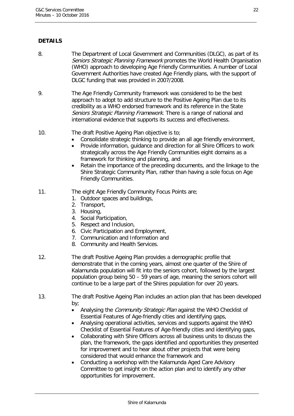## **DETAILS**

- 8. The Department of Local Government and Communities (DLGC), as part of its Seniors Strategic Planning Framework promotes the World Health Organisation (WHO) approach to developing Age Friendly Communities. A number of Local Government Authorities have created Age Friendly plans, with the support of DLGC funding that was provided in 2007/2008.
- 9. The Age Friendly Community framework was considered to be the best approach to adopt to add structure to the Positive Ageing Plan due to its credibility as a WHO endorsed framework and its reference in the State Seniors Strategic Planning Framework. There is a range of national and international evidence that supports its success and effectiveness.

#### 10. The draft Positive Ageing Plan objective is to;

- Consolidate strategic thinking to provide an all age friendly environment,
- Provide information, guidance and direction for all Shire Officers to work strategically across the Age Friendly Communities eight domains as a framework for thinking and planning, and
- Retain the importance of the preceding documents, and the linkage to the Shire Strategic Community Plan, rather than having a sole focus on Age Friendly Communities.

#### 11. The eight Age Friendly Community Focus Points are;

- 1. Outdoor spaces and buildings,
- 2. Transport,
- 3. Housing,
- 4. Social Participation,
- 5. Respect and Inclusion,
- 6. Civic Participation and Employment,
- 7. Communication and Information and
- 8. Community and Health Services.
- 12. The draft Positive Ageing Plan provides a demographic profile that demonstrate that in the coming years, almost one quarter of the Shire of Kalamunda population will fit into the seniors cohort, followed by the largest population group being 50 – 59 years of age, meaning the seniors cohort will continue to be a large part of the Shires population for over 20 years.
- 13. The draft Positive Ageing Plan includes an action plan that has been developed by;
	- Analysing the *Community Strategic Plan* against the WHO Checklist of Essential Features of Age-friendly cities and identifying gaps,
	- Analysing operational activities, services and supports against the WHO Checklist of Essential Features of Age-friendly cities and identifying gaps,
	- Collaborating with Shire Officers across all business units to discuss the plan, the framework, the gaps identified and opportunities they presented for improvement and to hear about other projects that were being considered that would enhance the framework and
	- Conducting a workshop with the Kalamunda Aged Care Advisory Committee to get insight on the action plan and to identify any other opportunities for improvement.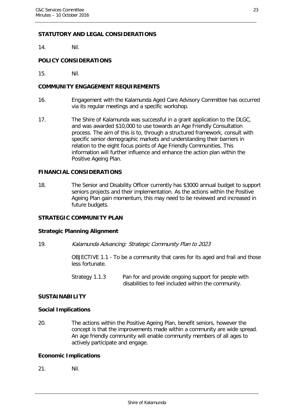#### **STATUTORY AND LEGAL CONSIDERATIONS**

14. Nil.

#### **POLICY CONSIDERATIONS**

15. Nil.

#### **COMMUNITY ENGAGEMENT REQUIREMENTS**

- 16. Engagement with the Kalamunda Aged Care Advisory Committee has occurred via its regular meetings and a specific workshop.
- 17. The Shire of Kalamunda was successful in a grant application to the DLGC, and was awarded \$10,000 to use towards an Age Friendly Consultation process. The aim of this is to, through a structured framework, consult with specific senior demographic markets and understanding their barriers in relation to the eight focus points of Age Friendly Communities. This information will further influence and enhance the action plan within the Positive Ageing Plan.

#### **FINANCIAL CONSIDERATIONS**

18. The Senior and Disability Officer currently has \$3000 annual budget to support seniors projects and their implementation. As the actions within the Positive Ageing Plan gain momentum, this may need to be reviewed and increased in future budgets.

#### **STRATEGIC COMMUNITY PLAN**

#### **Strategic Planning Alignment**

19. Kalamunda Advancing: Strategic Community Plan to 2023

OBJECTIVE 1.1 - To be a community that cares for its aged and frail and those less fortunate.

Strategy 1.1.3 Pan for and provide ongoing support for people with disabilities to feel included within the community.

#### **SUSTAINABILITY**

#### **Social Implications**

20. The actions within the Positive Ageing Plan, benefit seniors, however the concept is that the improvements made within a community are wide spread. An age friendly community will enable community members of all ages to actively participate and engage.

#### **Economic Implications**

21. Nil.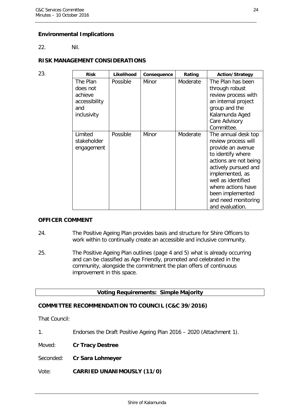#### **Environmental Implications**

22. Nil.

#### **RISK MANAGEMENT CONSIDERATIONS**

| 23. | <b>Risk</b>                                                            | Likelihood | Consequence | Rating   | <b>Action/Strategy</b>                                                                                                                                                                                                                                             |
|-----|------------------------------------------------------------------------|------------|-------------|----------|--------------------------------------------------------------------------------------------------------------------------------------------------------------------------------------------------------------------------------------------------------------------|
|     | The Plan<br>does not<br>achieve<br>accessibility<br>and<br>inclusivity | Possible   | Minor       | Moderate | The Plan has been<br>through robust<br>review process with<br>an internal project<br>group and the<br>Kalamunda Aged<br>Care Advisory<br>Committee.                                                                                                                |
|     | Limited<br>stakeholder<br>engagement                                   | Possible   | Minor       | Moderate | The annual desk top<br>review process will<br>provide an avenue<br>to identify where<br>actions are not being<br>actively pursued and<br>implemented, as<br>well as identified<br>where actions have<br>been implemented<br>and need monitoring<br>and evaluation. |

#### **OFFICER COMMENT**

- 24. The Positive Ageing Plan provides basis and structure for Shire Officers to work within to continually create an accessible and inclusive community.
- 25. The Positive Ageing Plan outlines (page 4 and 5) what is already occurring and can be classified as Age Friendly, promoted and celebrated in the community, alongside the commitment the plan offers of continuous improvement in this space.

| <b>Voting Requirements: Simple Majority</b> |  |
|---------------------------------------------|--|
|---------------------------------------------|--|

## **COMMITTEE RECOMMENDATION TO COUNCIL (C&C 39/2016)**

That Council:

1. Endorses the Draft Positive Ageing Plan 2016 – 2020 (Attachment 1).

Moved: **Cr Tracy Destree**

Seconded: **Cr Sara Lohmeyer**

Vote: **CARRIED UNANIMOUSLY (11/0)**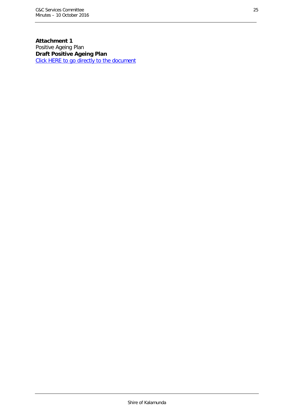**Attachment 1** Positive Ageing Plan **Draft Positive Ageing Plan** [Click HERE to go directly to the document](http://www.kalamunda.wa.gov.au/files/40aa2bd6-d2e5-42a5-98ac-a69700e757df/Item-39-Att-1-CC-10-October-2016.pdf)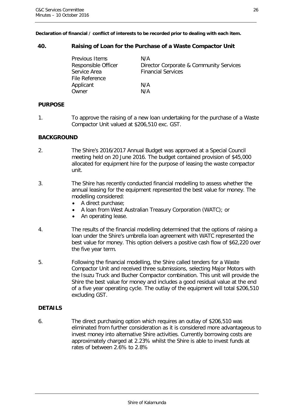**Declaration of financial / conflict of interests to be recorded prior to dealing with each item.**

#### <span id="page-25-0"></span>**40. Raising of Loan for the Purchase of a Waste Compactor Unit**

| Previous Items      | N/A                                     |
|---------------------|-----------------------------------------|
| Responsible Officer | Director Corporate & Community Services |
| Service Area        | <b>Financial Services</b>               |
| File Reference      |                                         |
| Applicant           | N/A                                     |
| Owner               | N/A                                     |

#### **PURPOSE**

1. To approve the raising of a new loan undertaking for the purchase of a Waste Compactor Unit valued at \$206,510 exc. GST.

#### **BACKGROUND**

- 2. The Shire's 2016/2017 Annual Budget was approved at a Special Council meeting held on 20 June 2016. The budget contained provision of \$45,000 allocated for equipment hire for the purpose of leasing the waste compactor unit.
- 3. The Shire has recently conducted financial modelling to assess whether the annual leasing for the equipment represented the best value for money. The modelling considered:
	- A direct purchase:
	- A loan from West Australian Treasury Corporation (WATC); or
	- An operating lease.
- 4. The results of the financial modelling determined that the options of raising a loan under the Shire's umbrella loan agreement with WATC represented the best value for money. This option delivers a positive cash flow of \$62,220 over the five year term.
- 5. Following the financial modelling, the Shire called tenders for a Waste Compactor Unit and received three submissions, selecting Major Motors with the Isuzu Truck and Bucher Compactor combination. This unit will provide the Shire the best value for money and includes a good residual value at the end of a five year operating cycle. The outlay of the equipment will total \$206,510 excluding GST.

#### **DETAILS**

6. The direct purchasing option which requires an outlay of \$206,510 was eliminated from further consideration as it is considered more advantageous to invest money into alternative Shire activities. Currently borrowing costs are approximately charged at 2.23% whilst the Shire is able to invest funds at rates of between 2.6% to 2.8%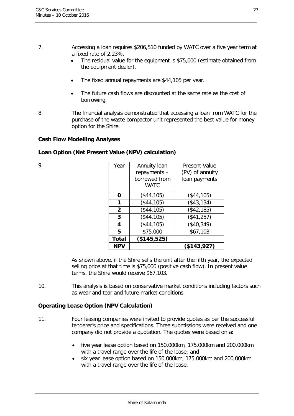#### 7. Accessing a loan requires \$206,510 funded by WATC over a five year term at a fixed rate of 2.23%.

- The residual value for the equipment is \$75,000 (estimate obtained from the equipment dealer).
- The fixed annual repayments are \$44,105 per year.
- The future cash flows are discounted at the same rate as the cost of borrowing.
- 8. The financial analysis demonstrated that accessing a loan from WATC for the purchase of the waste compactor unit represented the best value for money option for the Shire.

#### **Cash Flow Modelling Analyses**

#### **Loan Option (Net Present Value (NPV) calculation)**

| Year           | Annuity loan | <b>Present Value</b> |
|----------------|--------------|----------------------|
|                | repayments - | (PV) of annuity      |
|                |              | loan payments        |
|                | <b>WATC</b>  |                      |
| 0              | (\$44,105)   | (\$44,105)           |
| 1              | (\$44,105)   | ( \$43, 134)         |
| $\overline{2}$ | (\$44,105)   | (\$42,185)           |
| 3              | (\$44,105)   | (\$41,257)           |
| 4              | (\$44,105)   | (\$40,349)           |
| 5              | \$75,000     | \$67,103             |
| <b>Total</b>   | (\$145,525)  |                      |
| <b>NPV</b>     |              | (\$143,927)          |
|                |              | borrowed from        |

As shown above, if the Shire sells the unit after the fifth year, the expected selling price at that time is \$75,000 (positive cash flow). In present value terms, the Shire would receive \$67,103.

10. This analysis is based on conservative market conditions including factors such as wear and tear and future market conditions.

#### **Operating Lease Option (NPV Calculation)**

- 11. Four leasing companies were invited to provide quotes as per the successful tenderer's price and specifications. Three submissions were received and one company did not provide a quotation. The quotes were based on a:
	- five year lease option based on 150,000km, 175,000km and 200,000km with a travel range over the life of the lease; and
	- six year lease option based on 150,000km, 175,000km and 200,000km with a travel range over the life of the lease.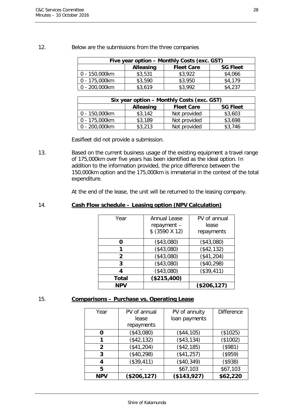| Five year option - Monthly Costs (exc. GST)              |         |         |         |  |  |
|----------------------------------------------------------|---------|---------|---------|--|--|
| <b>Alleasing</b><br><b>Fleet Care</b><br><b>SG Fleet</b> |         |         |         |  |  |
| 0 - 150,000km                                            | \$3,531 | \$3,922 | \$4,066 |  |  |
| 0 - 175,000km                                            | \$3,590 | \$3,950 | \$4,179 |  |  |
| 0 - 200,000km<br>\$3,619<br>\$3,992<br>\$4,237           |         |         |         |  |  |

#### 12. Below are the submissions from the three companies

| Six year option - Monthly Costs (exc. GST)               |         |              |         |  |  |
|----------------------------------------------------------|---------|--------------|---------|--|--|
| <b>Fleet Care</b><br><b>Alleasing</b><br><b>SG Fleet</b> |         |              |         |  |  |
| 0 - 150,000km                                            | \$3,142 | Not provided | \$3,603 |  |  |
| 0 - 175,000km                                            | \$3,189 | Not provided | \$3,698 |  |  |
| 0 - 200,000km                                            | \$3,213 | Not provided | \$3,746 |  |  |

Easifleet did not provide a submission.

13. Based on the current business usage of the existing equipment a travel range of 175,000km over five years has been identified as the ideal option. In addition to the information provided, the price difference between the 150,000km option and the 175,000km is immaterial in the context of the total expenditure.

At the end of the lease, the unit will be returned to the leasing company.

#### 14. **Cash Flow schedule – Leasing option (NPV Calculation)**

| Year         | Annual Lease<br>repayment -<br>$$$ (3590 X 12) | PV of annual<br>lease<br>repayments |
|--------------|------------------------------------------------|-------------------------------------|
| O            | (\$43,080)                                     | (\$43,080)                          |
| 1            | (\$43,080)                                     | (\$42,132)                          |
| $\mathbf{2}$ | (\$43,080)                                     | $(*41,204)$                         |
| 3            | (\$43,080)                                     | (\$40,298)                          |
| Δ            | (\$43,080)                                     | (\$39,411)                          |
| <b>Total</b> | (\$215,400)                                    |                                     |
| <b>NPV</b>   |                                                | (\$206, 127)                        |

#### 15. **Comparisons – Purchase vs. Operating Lease**

| Year         | PV of annual | PV of annuity | <b>Difference</b> |
|--------------|--------------|---------------|-------------------|
|              | lease        | loan payments |                   |
|              | repayments   |               |                   |
| Ω            | (\$43,080)   | (\$44,105)    | (\$1025)          |
|              | ( \$42, 132) | ( \$43, 134)  | (\$1002)          |
| $\mathbf{2}$ | (\$41,204)   | ( \$42, 185)  | (\$981)           |
| 3            | (\$40,298)   | $($ \$41,257) | (\$959)           |
| 4            | (\$39,411)   | ( \$40, 349)  | (\$938)           |
| 5            |              | \$67,103      | \$67,103          |
| <b>NPV</b>   | (\$206, 127) | (\$143,927)   | \$62,220          |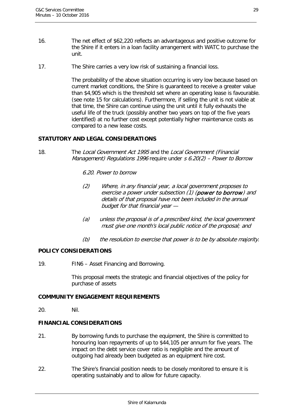- 16. The net effect of \$62,220 reflects an advantageous and positive outcome for the Shire if it enters in a loan facility arrangement with WATC to purchase the unit.
- 17. The Shire carries a very low risk of sustaining a financial loss.

The probability of the above situation occurring is very low because based on current market conditions, the Shire is guaranteed to receive a greater value than \$4,905 which is the threshold set where an operating lease is favourable. (see note 15 for calculations). Furthermore, if selling the unit is not viable at that time, the Shire can continue using the unit until it fully exhausts the useful life of the truck (possibly another two years on top of the five years identified) at no further cost except potentially higher maintenance costs as compared to a new lease costs.

#### **STATUTORY AND LEGAL CONSIDERATIONS**

18. The Local Government Act 1995 and the Local Government (Financial Management) Regulations 1996 require under  $s$  6.20(2) – Power to Borrow

6.20. Power to borrow

- (2) Where, in any financial year, a local government proposes to exercise a power under subsection (1) (power to borrow) and details of that proposal have not been included in the annual budget for that financial year —
- (a) unless the proposal is of a prescribed kind, the local government must give one month's local public notice of the proposal; and
- (b) the resolution to exercise that power is to be by absolute majority.

#### **POLICY CONSIDERATIONS**

19. FIN6 – Asset Financing and Borrowing.

This proposal meets the strategic and financial objectives of the policy for purchase of assets

#### **COMMUNITY ENGAGEMENT REQUIREMENTS**

20. Nil.

#### **FINANCIAL CONSIDERATIONS**

- 21. By borrowing funds to purchase the equipment, the Shire is committed to honouring loan repayments of up to \$44,105 per annum for five years. The impact on the debt service cover ratio is negligible and the amount of outgoing had already been budgeted as an equipment hire cost.
- 22. The Shire's financial position needs to be closely monitored to ensure it is operating sustainably and to allow for future capacity.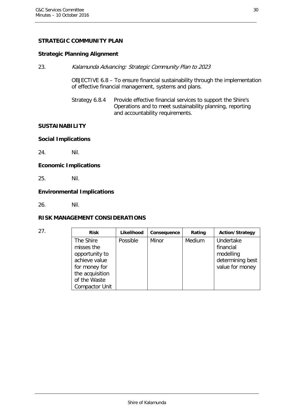#### **STRATEGIC COMMUNITY PLAN**

#### **Strategic Planning Alignment**

23. Kalamunda Advancing: Strategic Community Plan to 2023

OBJECTIVE 6.8 – To ensure financial sustainability through the implementation of effective financial management, systems and plans.

Strategy 6.8.4 Provide effective financial services to support the Shire's Operations and to meet sustainability planning, reporting and accountability requirements.

#### **SUSTAINABILITY**

#### **Social Implications**

24. Nil.

#### **Economic Implications**

25. Nil.

#### **Environmental Implications**

26. Nil.

#### **RISK MANAGEMENT CONSIDERATIONS**

| 27. | <b>Risk</b>                                                                                                                             | Likelihood | Consequence | Rating | <b>Action/Strategy</b>                                                     |
|-----|-----------------------------------------------------------------------------------------------------------------------------------------|------------|-------------|--------|----------------------------------------------------------------------------|
|     | The Shire<br>misses the<br>opportunity to<br>achieve value<br>for money for<br>the acquisition<br>of the Waste<br><b>Compactor Unit</b> | Possible   | Minor       | Medium | Undertake<br>financial<br>modelling<br>determining best<br>value for money |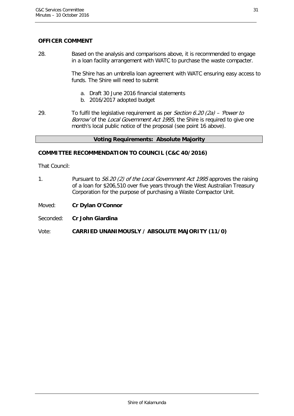## **OFFICER COMMENT**

28. Based on the analysis and comparisons above, it is recommended to engage in a loan facility arrangement with WATC to purchase the waste compacter.

> The Shire has an umbrella loan agreement with WATC ensuring easy access to funds. The Shire will need to submit

- a. Draft 30 June 2016 financial statements
- b. 2016/2017 adopted budget
- 29. To fulfil the legislative requirement as per Section 6.20 (2a) 'Power to Borrow' of the Local Government Act 1995, the Shire is required to give one month's local public notice of the proposal (see point 16 above).

#### **Voting Requirements: Absolute Majority**

#### **COMMITTEE RECOMMENDATION TO COUNCIL (C&C 40/2016)**

That Council:

- 1. Pursuant to S6.20 (2) of the Local Government Act 1995 approves the raising of a loan for \$206,510 over five years through the West Australian Treasury Corporation for the purpose of purchasing a Waste Compactor Unit.
- Moved: **Cr Dylan O'Connor**
- Seconded: **Cr John Giardina**

Vote: **CARRIED UNANIMOUSLY / ABSOLUTE MAJORITY (11/0)**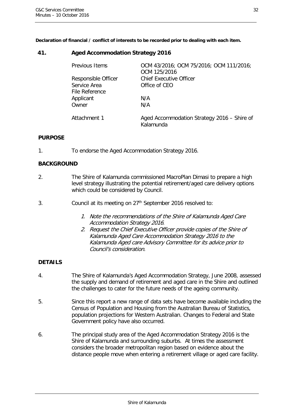**Declaration of financial / conflict of interests to be recorded prior to dealing with each item.**

#### <span id="page-31-0"></span>**41. Aged Accommodation Strategy 2016**

| Previous Items      | OCM 43/2016; OCM 75/2016; OCM 111/2016;<br>OCM 125/2016  |
|---------------------|----------------------------------------------------------|
| Responsible Officer | <b>Chief Executive Officer</b>                           |
| Service Area        | Office of CEO                                            |
| File Reference      |                                                          |
| Applicant           | N/A                                                      |
| Owner               | N/A                                                      |
| Attachment 1        | Aged Accommodation Strategy 2016 – Shire of<br>Kalamunda |

#### **PURPOSE**

1. To endorse the Aged Accommodation Strategy 2016.

#### **BACKGROUND**

- 2. The Shire of Kalamunda commissioned MacroPlan Dimasi to prepare a high level strategy illustrating the potential retirement/aged care delivery options which could be considered by Council.
- 3. Council at its meeting on 27<sup>th</sup> September 2016 resolved to:
	- 1. Note the recommendations of the Shire of Kalamunda Aged Care Accommodation Strategy 2016.
	- 2. Request the Chief Executive Officer provide copies of the Shire of Kalamunda Aged Care Accommodation Strategy 2016 to the Kalamunda Aged care Advisory Committee for its advice prior to Council's consideration.

#### **DETAILS**

- 4. The Shire of Kalamunda's Aged Accommodation Strategy, June 2008, assessed the supply and demand of retirement and aged care in the Shire and outlined the challenges to cater for the future needs of the ageing community.
- 5. Since this report a new range of data sets have become available including the Census of Population and Housing from the Australian Bureau of Statistics, population projections for Western Australian. Changes to Federal and State Government policy have also occurred.
- 6. The principal study area of the Aged Accommodation Strategy 2016 is the Shire of Kalamunda and surrounding suburbs. At times the assessment considers the broader metropolitan region based on evidence about the distance people move when entering a retirement village or aged care facility.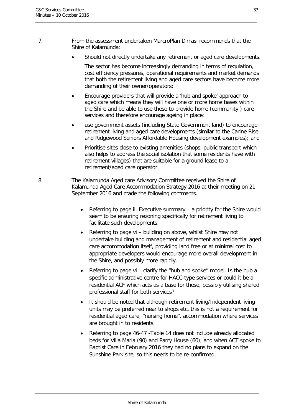- 7. From the assessment undertaken MarcroPlan Dimasi recommends that the Shire of Kalamunda:
	- Should not directly undertake any retirement or aged care developments.

The sector has become increasingly demanding in terms of regulation, cost efficiency pressures, operational requirements and market demands that both the retirement living and aged care sectors have become more demanding of their owner/operators;

- Encourage providers that will provide a 'hub and spoke' approach to aged care which means they will have one or more home bases within the Shire and be able to use these to provide home (community ) care services and therefore encourage ageing in place;
- use government assets (including State Government land) to encourage retirement living and aged care developments (similar to the Carine Rise and Ridgewood Seniors Affordable Housing development examples); and
- Prioritise sites close to existing amenities (shops, public transport which also helps to address the social isolation that some residents have with retirement villages) that are suitable for a ground lease to a retirement/aged care operator.
- 8. The Kalamunda Aged care Advisory Committee received the Shire of Kalamunda Aged Care Accommodation Strategy 2016 at their meeting on 21 September 2016 and made the following comments.
	- Referring to page ii, Executive summary a priority for the Shire would seem to be ensuring rezoning specifically for retirement living to facilitate such developments.
	- Referring to page vi building on above, whilst Shire may not undertake building and management of retirement and residential aged care accommodation itself, providing land free or at minimal cost to appropriate developers would encourage more overall development in the Shire, and possibly more rapidly.
	- Referring to page vi clarify the "hub and spoke" model. Is the hub a specific administrative centre for HACC-type services or could it be a residential ACF which acts as a base for these, possibly utilising shared professional staff for both services?
	- It should be noted that although retirement living/Independent living units may be preferred near to shops etc, this is not a requirement for residential aged care, "nursing home", accommodation where services are brought in to residents.
	- Referring to page 46-47 -Table 14 does not include already allocated beds for Villa Maria (90) and Parry House (60), and when ACT spoke to Baptist Care in February 2016 they had no plans to expand on the Sunshine Park site, so this needs to be re-confirmed.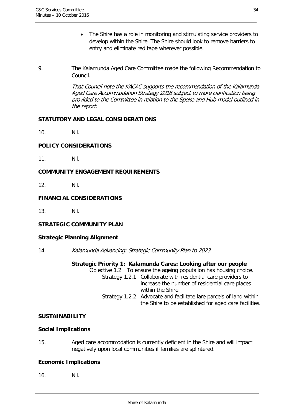- The Shire has a role in monitoring and stimulating service providers to develop within the Shire. The Shire should look to remove barriers to entry and eliminate red tape wherever possible.
- 9. The Kalamunda Aged Care Committee made the following Recommendation to Council.

That Council note the KACAC supports the recommendation of the Kalamunda Aged Care Accommodation Strategy 2016 subject to more clarification being provided to the Committee in relation to the Spoke and Hub model outlined in the report.

#### **STATUTORY AND LEGAL CONSIDERATIONS**

10. Nil.

#### **POLICY CONSIDERATIONS**

11. Nil.

#### **COMMUNITY ENGAGEMENT REQUIREMENTS**

12. Nil.

#### **FINANCIAL CONSIDERATIONS**

13. Nil.

#### **STRATEGIC COMMUNITY PLAN**

#### **Strategic Planning Alignment**

14. Kalamunda Advancing: Strategic Community Plan to 2023

#### **Strategic Priority 1: Kalamunda Cares: Looking after our people**

Objective 1.2 To ensure the ageing poputalion has housing choice. Strategy 1.2.1 Collaborate with residential care providers to increase the number of residential care places within the Shire. Strategy 1.2.2 Advocate and facilitate lare parcels of land within the Shire to be established for aged care facilities.

#### **SUSTAINABILITY**

#### **Social Implications**

15. Aged care accommodation is currently deficient in the Shire and will impact negatively upon local communities if families are splintered.

#### **Economic Implications**

16. Nil.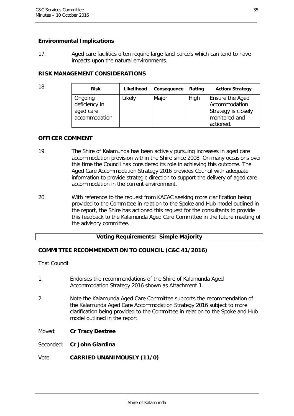#### **Environmental Implications**

17. Aged care facilities often require large land parcels which can tend to have impacts upon the natural environments.

#### **RISK MANAGEMENT CONSIDERATIONS**

| 18. | <b>Risk</b>   | Likelihood | Consequence | Rating | <b>Action/Strategy</b> |
|-----|---------------|------------|-------------|--------|------------------------|
|     | Ongoing       | Likely     | Major       | High   | Ensure the Aged        |
|     | deficiency in |            |             |        | Accommodation          |
|     | aged care     |            |             |        | Strategy is closely    |
|     | accommodation |            |             |        | monitored and          |
|     |               |            |             |        | actioned.              |

#### **OFFICER COMMENT**

- 19. The Shire of Kalamunda has been actively pursuing increases in aged care accommodation provision within the Shire since 2008. On many occasions over this time the Council has considered its role in achieving this outcome. The Aged Care Accommodation Strategy 2016 provides Council with adequate information to provide strategic direction to support the delivery of aged care accommodation in the current environment.
- 20. With reference to the request from KACAC seeking more clarification being provided to the Committee in relation to the Spoke and Hub model outlined in the report, the Shire has actioned this request for the consultants to provide this feedback to the Kalamunda Aged Care Committee in the future meeting of the advisory committee.

#### **Voting Requirements: Simple Majority**

#### **COMMITTEE RECOMMENDATION TO COUNCIL (C&C 41/2016)**

That Council:

- 1. Endorses the recommendations of the Shire of Kalamunda Aged Accommodation Strategy 2016 shown as Attachment 1.
- 2. Note the Kalamunda Aged Care Committee supports the recommendation of the Kalamunda Aged Care Accommodation Strategy 2016 subject to more clarification being provided to the Committee in relation to the Spoke and Hub model outlined in the report.
- Moved: **Cr Tracy Destree**
- Seconded: **Cr John Giardina**

#### Vote: **CARRIED UNANIMOUSLY (11/0)**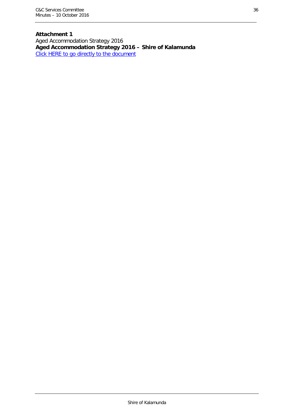**Attachment 1** Aged Accommodation Strategy 2016 **Aged Accommodation Strategy 2016 – Shire of Kalamunda** [Click HERE to go directly to the document](http://www.kalamunda.wa.gov.au/files/5aad2cc7-4dad-43b3-85a9-a69700e85f58/Item-41-Att-1-CC-10-October-2016.pdf)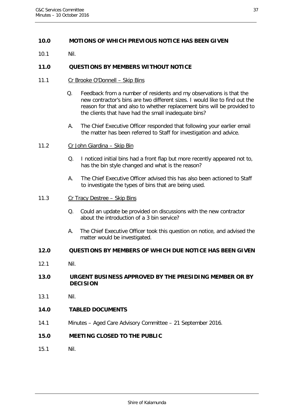#### <span id="page-36-0"></span>**10.0 MOTIONS OF WHICH PREVIOUS NOTICE HAS BEEN GIVEN**

10.1 Nil.

#### <span id="page-36-1"></span>**11.0 QUESTIONS BY MEMBERS WITHOUT NOTICE**

- 11.1 Cr Brooke O'Donnell Skip Bins
	- Q. Feedback from a number of residents and my observations is that the new contractor's bins are two different sizes. I would like to find out the reason for that and also to whether replacement bins will be provided to the clients that have had the small inadequate bins?
	- A. The Chief Executive Officer responded that following your earlier email the matter has been referred to Staff for investigation and advice.
- 11.2 Cr John Giardina Skip Bin
	- Q. I noticed initial bins had a front flap but more recently appeared not to, has the bin style changed and what is the reason?
	- A. The Chief Executive Officer advised this has also been actioned to Staff to investigate the types of bins that are being used.
- 11.3 Cr Tracy Destree Skip Bins
	- Q. Could an update be provided on discussions with the new contractor about the introduction of a 3 bin service?
	- A. The Chief Executive Officer took this question on notice, and advised the matter would be investigated.

#### <span id="page-36-2"></span>**12.0 QUESTIONS BY MEMBERS OF WHICH DUE NOTICE HAS BEEN GIVEN**

12.1 Nil.

#### <span id="page-36-3"></span>**13.0 URGENT BUSINESS APPROVED BY THE PRESIDING MEMBER OR BY DECISION**

13.1 Nil.

#### <span id="page-36-4"></span>**14.0 TABLED DOCUMENTS**

14.1 Minutes – Aged Care Advisory Committee – 21 September 2016.

#### <span id="page-36-5"></span>**15.0 MEETING CLOSED TO THE PUBLIC**

15.1 Nil.